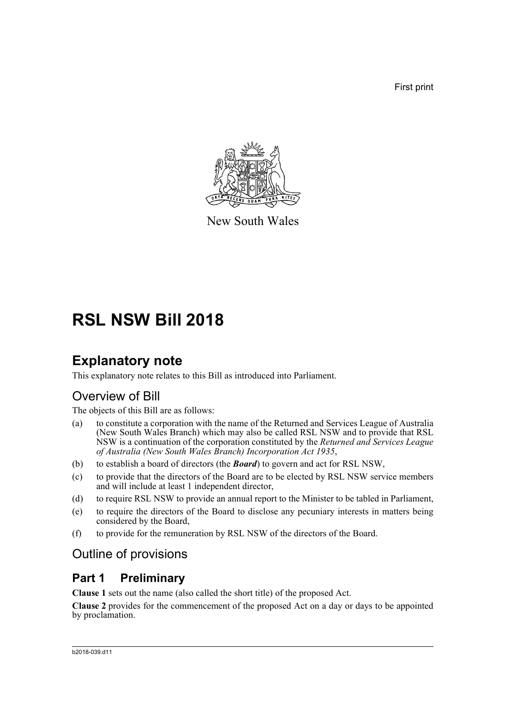First print



New South Wales

# **RSL NSW Bill 2018**

# **Explanatory note**

This explanatory note relates to this Bill as introduced into Parliament.

# Overview of Bill

The objects of this Bill are as follows:

- (a) to constitute a corporation with the name of the Returned and Services League of Australia (New South Wales Branch) which may also be called RSL NSW and to provide that RSL NSW is a continuation of the corporation constituted by the *Returned and Services League of Australia (New South Wales Branch) Incorporation Act 1935*,
- (b) to establish a board of directors (the *Board*) to govern and act for RSL NSW,
- (c) to provide that the directors of the Board are to be elected by RSL NSW service members and will include at least 1 independent director,
- (d) to require RSL NSW to provide an annual report to the Minister to be tabled in Parliament,
- (e) to require the directors of the Board to disclose any pecuniary interests in matters being considered by the Board,
- (f) to provide for the remuneration by RSL NSW of the directors of the Board.

# Outline of provisions

### **Part 1 Preliminary**

**Clause 1** sets out the name (also called the short title) of the proposed Act.

**Clause 2** provides for the commencement of the proposed Act on a day or days to be appointed by proclamation.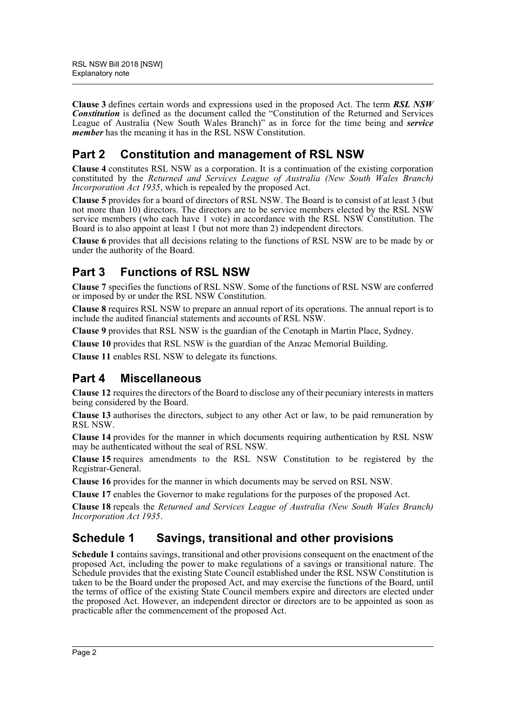**Clause 3** defines certain words and expressions used in the proposed Act. The term *RSL NSW Constitution* is defined as the document called the "Constitution of the Returned and Services League of Australia (New South Wales Branch)" as in force for the time being and *service member* has the meaning it has in the RSL NSW Constitution.

# **Part 2 Constitution and management of RSL NSW**

**Clause 4** constitutes RSL NSW as a corporation. It is a continuation of the existing corporation constituted by the *Returned and Services League of Australia (New South Wales Branch) Incorporation Act 1935*, which is repealed by the proposed Act.

**Clause 5** provides for a board of directors of RSL NSW. The Board is to consist of at least 3 (but not more than 10) directors. The directors are to be service members elected by the RSL NSW service members (who each have 1 vote) in accordance with the RSL NSW Constitution. The Board is to also appoint at least 1 (but not more than 2) independent directors.

**Clause 6** provides that all decisions relating to the functions of RSL NSW are to be made by or under the authority of the Board.

# **Part 3 Functions of RSL NSW**

**Clause 7** specifies the functions of RSL NSW. Some of the functions of RSL NSW are conferred or imposed by or under the RSL NSW Constitution.

**Clause 8** requires RSL NSW to prepare an annual report of its operations. The annual report is to include the audited financial statements and accounts of RSL NSW.

**Clause 9** provides that RSL NSW is the guardian of the Cenotaph in Martin Place, Sydney.

**Clause 10** provides that RSL NSW is the guardian of the Anzac Memorial Building.

**Clause 11** enables RSL NSW to delegate its functions.

### **Part 4 Miscellaneous**

**Clause 12** requires the directors of the Board to disclose any of their pecuniary interests in matters being considered by the Board.

**Clause 13** authorises the directors, subject to any other Act or law, to be paid remuneration by RSL NSW.

**Clause 14** provides for the manner in which documents requiring authentication by RSL NSW may be authenticated without the seal of RSL NSW.

**Clause 15** requires amendments to the RSL NSW Constitution to be registered by the Registrar-General.

**Clause 16** provides for the manner in which documents may be served on RSL NSW.

**Clause 17** enables the Governor to make regulations for the purposes of the proposed Act.

**Clause 18** repeals the *Returned and Services League of Australia (New South Wales Branch) Incorporation Act 1935*.

# **Schedule 1 Savings, transitional and other provisions**

**Schedule 1** contains savings, transitional and other provisions consequent on the enactment of the proposed Act, including the power to make regulations of a savings or transitional nature. The Schedule provides that the existing State Council established under the RSL NSW Constitution is taken to be the Board under the proposed Act, and may exercise the functions of the Board, until the terms of office of the existing State Council members expire and directors are elected under the proposed Act. However, an independent director or directors are to be appointed as soon as practicable after the commencement of the proposed Act.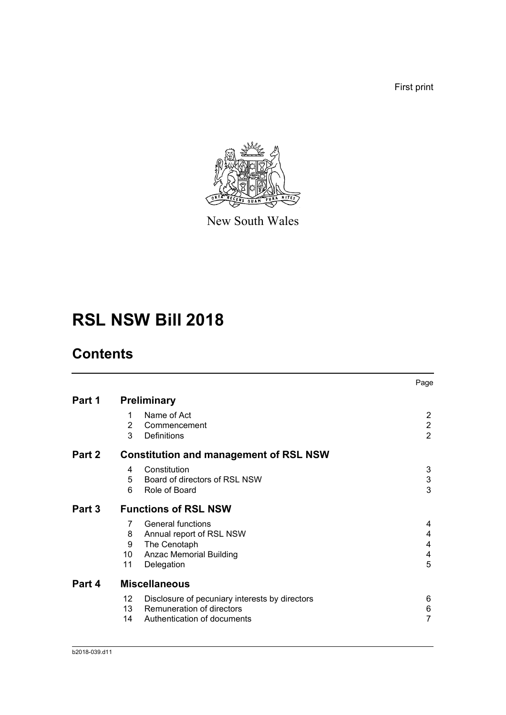First print



New South Wales

# **RSL NSW Bill 2018**

# **Contents**

|        |                                                      | Page                         |
|--------|------------------------------------------------------|------------------------------|
| Part 1 | <b>Preliminary</b>                                   |                              |
|        | Name of Act<br>1                                     | 2                            |
|        | $\overline{2}$<br>Commencement<br>3<br>Definitions   | $\sqrt{2}$<br>$\overline{2}$ |
| Part 2 | <b>Constitution and management of RSL NSW</b>        |                              |
|        | Constitution<br>4                                    | 3                            |
|        | 5<br>Board of directors of RSL NSW                   | $\mathbf{3}$                 |
|        | Role of Board<br>6                                   | 3                            |
| Part 3 | <b>Functions of RSL NSW</b>                          |                              |
|        | <b>General functions</b><br>7                        | 4                            |
|        | Annual report of RSL NSW<br>8                        | 4                            |
|        | The Cenotaph<br>9                                    | 4                            |
|        | 10<br>Anzac Memorial Building                        | 4                            |
|        | 11<br>Delegation                                     | 5                            |
| Part 4 | <b>Miscellaneous</b>                                 |                              |
|        | 12<br>Disclosure of pecuniary interests by directors | 6                            |
|        | Remuneration of directors<br>13 <sup>°</sup>         | 6                            |
|        | Authentication of documents<br>14                    | 7                            |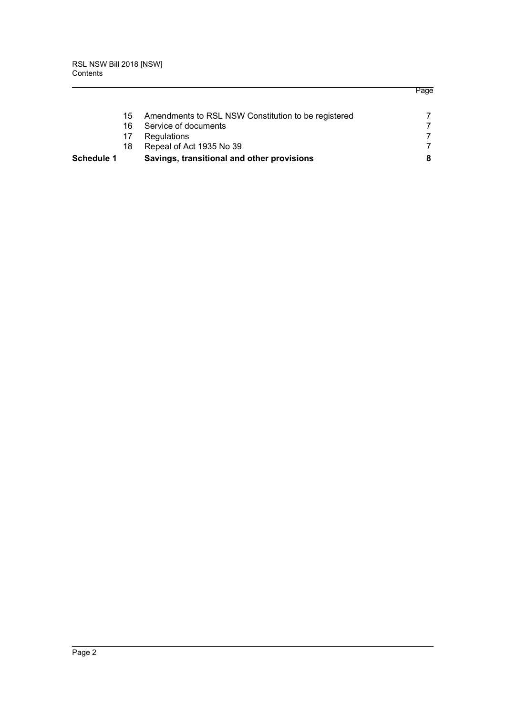| Schedule 1 |     | Savings, transitional and other provisions          | 8 |
|------------|-----|-----------------------------------------------------|---|
|            | 18. | Repeal of Act 1935 No 39                            |   |
|            | 17  | Regulations                                         |   |
|            | 16  | Service of documents                                |   |
|            | 15  | Amendments to RSL NSW Constitution to be registered |   |

Page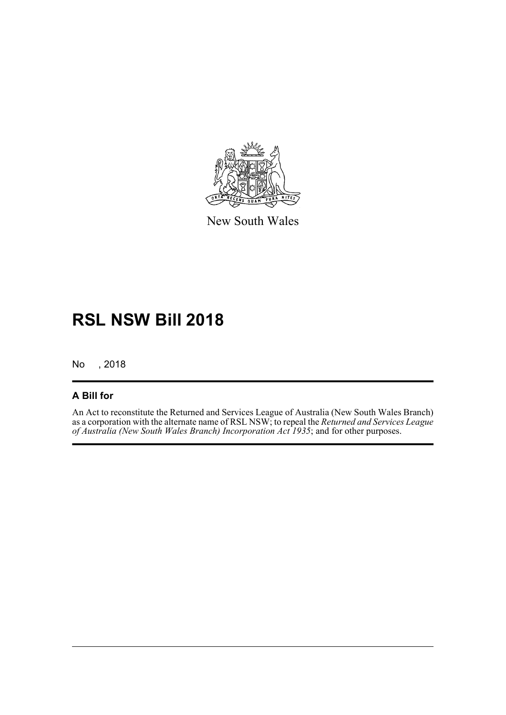

New South Wales

# **RSL NSW Bill 2018**

No , 2018

#### **A Bill for**

An Act to reconstitute the Returned and Services League of Australia (New South Wales Branch) as a corporation with the alternate name of RSL NSW; to repeal the *Returned and Services League of Australia (New South Wales Branch) Incorporation Act 1935*; and for other purposes.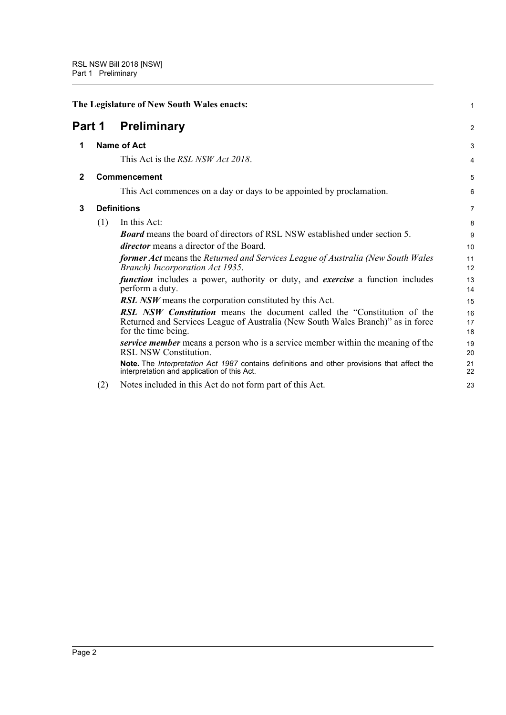<span id="page-5-3"></span><span id="page-5-2"></span><span id="page-5-1"></span><span id="page-5-0"></span>

| The Legislature of New South Wales enacts:<br><b>Preliminary</b><br>Part 1 |     | $\mathbf{1}$                                                                                                                                                      |                |
|----------------------------------------------------------------------------|-----|-------------------------------------------------------------------------------------------------------------------------------------------------------------------|----------------|
|                                                                            |     |                                                                                                                                                                   | $\overline{2}$ |
| 1                                                                          |     | <b>Name of Act</b>                                                                                                                                                | 3              |
|                                                                            |     | This Act is the <i>RSL NSW Act 2018</i> .                                                                                                                         | $\overline{4}$ |
| $\mathbf{2}$                                                               |     | Commencement                                                                                                                                                      | 5              |
|                                                                            |     | This Act commences on a day or days to be appointed by proclamation.                                                                                              | 6              |
| 3                                                                          |     | <b>Definitions</b>                                                                                                                                                | $\overline{7}$ |
|                                                                            | (1) | In this Act:                                                                                                                                                      | 8              |
|                                                                            |     | <b>Board</b> means the board of directors of RSL NSW established under section 5.                                                                                 | 9              |
|                                                                            |     | <i>director</i> means a director of the Board.                                                                                                                    | 10             |
|                                                                            |     | former Act means the Returned and Services League of Australia (New South Wales<br>Branch) Incorporation Act 1935.                                                | 11<br>12       |
|                                                                            |     | <i>function</i> includes a power, authority or duty, and <i>exercise</i> a function includes<br>perform a duty.                                                   | 13<br>14       |
|                                                                            |     | <b>RSL NSW</b> means the corporation constituted by this Act.                                                                                                     | 15             |
|                                                                            |     | <b>RSL</b> NSW Constitution means the document called the "Constitution of the<br>Returned and Services League of Australia (New South Wales Branch)" as in force | 16<br>17       |
|                                                                            |     | for the time being.                                                                                                                                               | 18             |
|                                                                            |     | service member means a person who is a service member within the meaning of the<br>RSL NSW Constitution.                                                          | 19<br>20       |
|                                                                            |     | Note. The Interpretation Act 1987 contains definitions and other provisions that affect the<br>interpretation and application of this Act.                        | 21<br>22       |
|                                                                            | (2) | Notes included in this Act do not form part of this Act.                                                                                                          | 23             |
|                                                                            |     |                                                                                                                                                                   |                |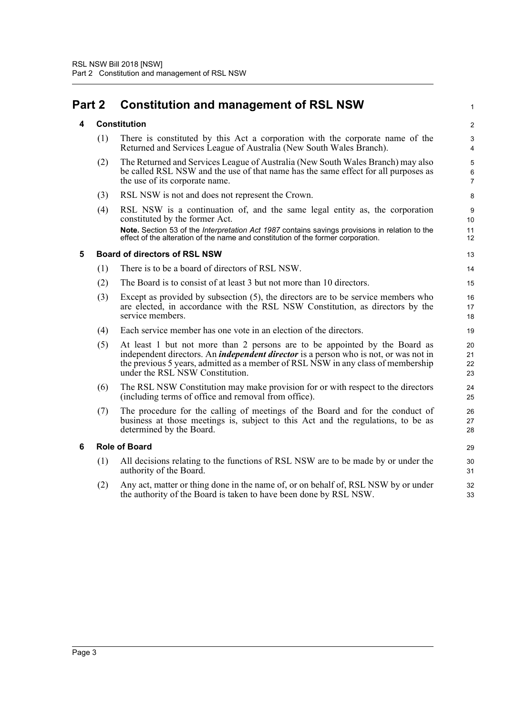# <span id="page-6-1"></span><span id="page-6-0"></span>**Part 2 Constitution and management of RSL NSW**

<span id="page-6-2"></span>

| 4 |     | <b>Constitution</b>                                                                                                                                                                                                                                                                              | $\overline{2}$           |
|---|-----|--------------------------------------------------------------------------------------------------------------------------------------------------------------------------------------------------------------------------------------------------------------------------------------------------|--------------------------|
|   | (1) | There is constituted by this Act a corporation with the corporate name of the<br>Returned and Services League of Australia (New South Wales Branch).                                                                                                                                             | 3<br>4                   |
|   | (2) | The Returned and Services League of Australia (New South Wales Branch) may also<br>be called RSL NSW and the use of that name has the same effect for all purposes as<br>the use of its corporate name.                                                                                          | 5<br>6<br>$\overline{7}$ |
|   | (3) | RSL NSW is not and does not represent the Crown.                                                                                                                                                                                                                                                 | 8                        |
|   | (4) | RSL NSW is a continuation of, and the same legal entity as, the corporation<br>constituted by the former Act.                                                                                                                                                                                    | 9<br>10                  |
|   |     | Note. Section 53 of the Interpretation Act 1987 contains savings provisions in relation to the<br>effect of the alteration of the name and constitution of the former corporation.                                                                                                               | 11<br>12                 |
| 5 |     | <b>Board of directors of RSL NSW</b>                                                                                                                                                                                                                                                             | 13                       |
|   | (1) | There is to be a board of directors of RSL NSW.                                                                                                                                                                                                                                                  | 14                       |
|   | (2) | The Board is to consist of at least 3 but not more than 10 directors.                                                                                                                                                                                                                            | 15                       |
|   | (3) | Except as provided by subsection $(5)$ , the directors are to be service members who<br>are elected, in accordance with the RSL NSW Constitution, as directors by the<br>service members.                                                                                                        | 16<br>17<br>18           |
|   | (4) | Each service member has one vote in an election of the directors.                                                                                                                                                                                                                                | 19                       |
|   | (5) | At least 1 but not more than 2 persons are to be appointed by the Board as<br>independent directors. An <i>independent director</i> is a person who is not, or was not in<br>the previous 5 years, admitted as a member of RSL NSW in any class of membership<br>under the RSL NSW Constitution. | 20<br>21<br>22<br>23     |
|   | (6) | The RSL NSW Constitution may make provision for or with respect to the directors<br>(including terms of office and removal from office).                                                                                                                                                         | 24<br>25                 |
|   | (7) | The procedure for the calling of meetings of the Board and for the conduct of<br>business at those meetings is, subject to this Act and the regulations, to be as<br>determined by the Board.                                                                                                    | 26<br>27<br>28           |
| 6 |     | <b>Role of Board</b>                                                                                                                                                                                                                                                                             | 29                       |
|   |     |                                                                                                                                                                                                                                                                                                  |                          |

- <span id="page-6-3"></span>(1) All decisions relating to the functions of RSL NSW are to be made by or under the 30 authority of the Board. 31
- (2) Any act, matter or thing done in the name of, or on behalf of, RSL NSW by or under 32 the authority of the Board is taken to have been done by RSL NSW. 33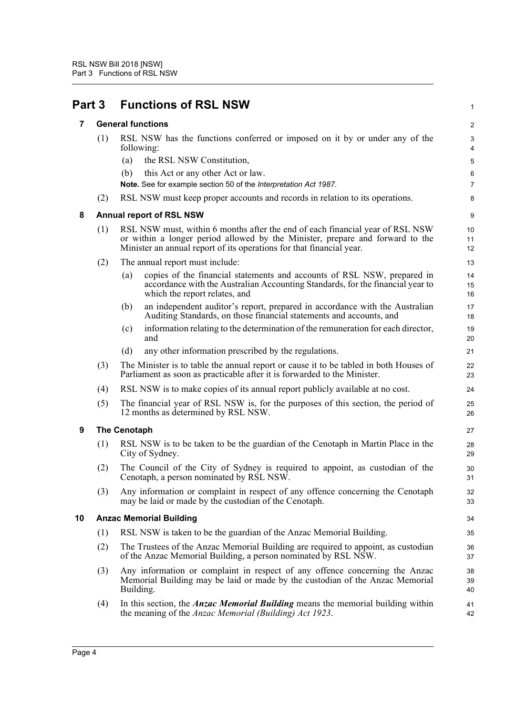<span id="page-7-4"></span><span id="page-7-3"></span><span id="page-7-2"></span><span id="page-7-1"></span><span id="page-7-0"></span>

| Part 3 |     | <b>Functions of RSL NSW</b>                                                                                                                                                                                                            | 1              |
|--------|-----|----------------------------------------------------------------------------------------------------------------------------------------------------------------------------------------------------------------------------------------|----------------|
| 7      |     | <b>General functions</b>                                                                                                                                                                                                               | $\overline{c}$ |
|        | (1) | RSL NSW has the functions conferred or imposed on it by or under any of the<br>following:                                                                                                                                              | 3<br>4         |
|        |     | the RSL NSW Constitution,<br>(a)                                                                                                                                                                                                       | 5              |
|        |     | (b)<br>this Act or any other Act or law.<br>Note. See for example section 50 of the Interpretation Act 1987.                                                                                                                           | 6<br>7         |
|        | (2) | RSL NSW must keep proper accounts and records in relation to its operations.                                                                                                                                                           | 8              |
| 8      |     | <b>Annual report of RSL NSW</b>                                                                                                                                                                                                        | 9              |
|        | (1) | RSL NSW must, within 6 months after the end of each financial year of RSL NSW<br>or within a longer period allowed by the Minister, prepare and forward to the<br>Minister an annual report of its operations for that financial year. | 10<br>11<br>12 |
|        | (2) | The annual report must include:                                                                                                                                                                                                        | 13             |
|        |     | copies of the financial statements and accounts of RSL NSW, prepared in<br>(a)<br>accordance with the Australian Accounting Standards, for the financial year to<br>which the report relates, and                                      | 14<br>15<br>16 |
|        |     | an independent auditor's report, prepared in accordance with the Australian<br>(b)<br>Auditing Standards, on those financial statements and accounts, and                                                                              | 17<br>18       |
|        |     | information relating to the determination of the remuneration for each director,<br>(c)<br>and                                                                                                                                         | 19<br>20       |
|        |     | (d)<br>any other information prescribed by the regulations.                                                                                                                                                                            | 21             |
|        | (3) | The Minister is to table the annual report or cause it to be tabled in both Houses of<br>Parliament as soon as practicable after it is forwarded to the Minister.                                                                      | 22<br>23       |
|        | (4) | RSL NSW is to make copies of its annual report publicly available at no cost.                                                                                                                                                          | 24             |
|        | (5) | The financial year of RSL NSW is, for the purposes of this section, the period of<br>12 months as determined by RSL NSW.                                                                                                               | 25<br>26       |
| 9      |     | The Cenotaph                                                                                                                                                                                                                           | 27             |
|        | (1) | RSL NSW is to be taken to be the guardian of the Cenotaph in Martin Place in the<br>City of Sydney.                                                                                                                                    | 28<br>29       |
|        | (2) | The Council of the City of Sydney is required to appoint, as custodian of the<br>Cenotaph, a person nominated by RSL NSW.                                                                                                              | 30<br>31       |
|        | (3) | Any information or complaint in respect of any offence concerning the Cenotaph<br>may be laid or made by the custodian of the Cenotaph.                                                                                                | 32<br>33       |
| 10     |     | <b>Anzac Memorial Building</b>                                                                                                                                                                                                         | 34             |
|        | (1) | RSL NSW is taken to be the guardian of the Anzac Memorial Building.                                                                                                                                                                    | 35             |
|        | (2) | The Trustees of the Anzac Memorial Building are required to appoint, as custodian<br>of the Anzac Memorial Building, a person nominated by RSL NSW.                                                                                    | 36<br>37       |
|        | (3) | Any information or complaint in respect of any offence concerning the Anzac<br>Memorial Building may be laid or made by the custodian of the Anzac Memorial<br>Building.                                                               | 38<br>39<br>40 |
|        | (4) | In this section, the <i>Anzac Memorial Building</i> means the memorial building within<br>the meaning of the <i>Anzac Memorial (Building) Act 1923</i> .                                                                               | 41<br>42       |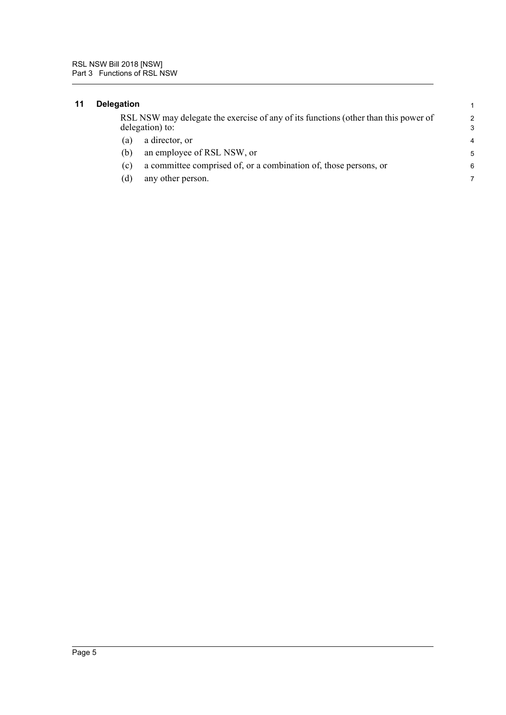### <span id="page-8-0"></span>**11 Delegation** 1

| RSL NSW may delegate the exercise of any of its functions (other than this power of |  |
|-------------------------------------------------------------------------------------|--|
| delegation) to:                                                                     |  |

- (a) a director, or 4
- (b) an employee of RSL NSW, or 5
- (c) a committee comprised of, or a combination of, those persons, or 6
- (d) any other person. 7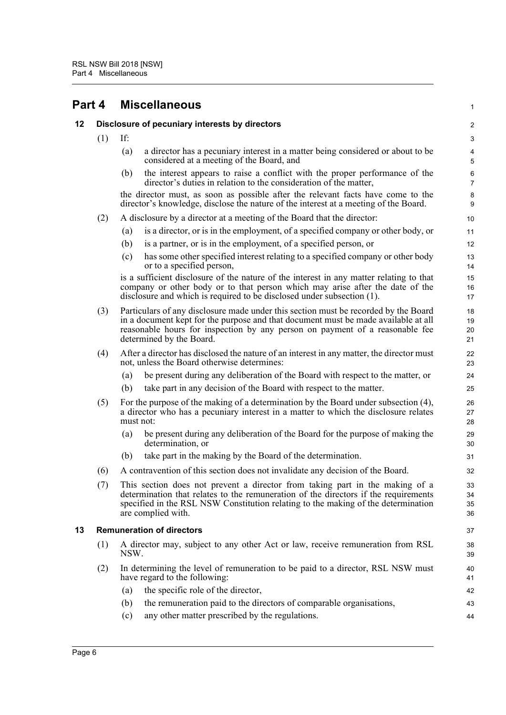<span id="page-9-2"></span><span id="page-9-1"></span><span id="page-9-0"></span>

| Part 4 |     | <b>Miscellaneous</b>                                                                                                                                                                                                                                                                  | $\mathbf{1}$              |
|--------|-----|---------------------------------------------------------------------------------------------------------------------------------------------------------------------------------------------------------------------------------------------------------------------------------------|---------------------------|
| 12     |     | Disclosure of pecuniary interests by directors                                                                                                                                                                                                                                        | 2                         |
|        | (1) | If:                                                                                                                                                                                                                                                                                   | $\ensuremath{\mathsf{3}}$ |
|        |     | a director has a pecuniary interest in a matter being considered or about to be<br>(a)<br>considered at a meeting of the Board, and                                                                                                                                                   | 4<br>$\sqrt{5}$           |
|        |     | the interest appears to raise a conflict with the proper performance of the<br>(b)<br>director's duties in relation to the consideration of the matter,                                                                                                                               | 6<br>$\overline{7}$       |
|        |     | the director must, as soon as possible after the relevant facts have come to the<br>director's knowledge, disclose the nature of the interest at a meeting of the Board.                                                                                                              | $\bf8$<br>9               |
|        | (2) | A disclosure by a director at a meeting of the Board that the director:                                                                                                                                                                                                               | 10                        |
|        |     | is a director, or is in the employment, of a specified company or other body, or<br>(a)                                                                                                                                                                                               | 11                        |
|        |     | (b)<br>is a partner, or is in the employment, of a specified person, or                                                                                                                                                                                                               | 12                        |
|        |     | has some other specified interest relating to a specified company or other body<br>(c)<br>or to a specified person,                                                                                                                                                                   | 13<br>14                  |
|        |     | is a sufficient disclosure of the nature of the interest in any matter relating to that<br>company or other body or to that person which may arise after the date of the<br>disclosure and which is required to be disclosed under subsection (1).                                    | 15<br>16<br>17            |
|        | (3) | Particulars of any disclosure made under this section must be recorded by the Board<br>in a document kept for the purpose and that document must be made available at all<br>reasonable hours for inspection by any person on payment of a reasonable fee<br>determined by the Board. | 18<br>19<br>20<br>21      |
|        | (4) | After a director has disclosed the nature of an interest in any matter, the director must<br>not, unless the Board otherwise determines:                                                                                                                                              | 22<br>23                  |
|        |     | be present during any deliberation of the Board with respect to the matter, or<br>(a)                                                                                                                                                                                                 | 24                        |
|        |     | take part in any decision of the Board with respect to the matter.<br>(b)                                                                                                                                                                                                             | 25                        |
|        | (5) | For the purpose of the making of a determination by the Board under subsection (4),<br>a director who has a pecuniary interest in a matter to which the disclosure relates<br>must not:                                                                                               | 26<br>27<br>28            |
|        |     | be present during any deliberation of the Board for the purpose of making the<br>(a)<br>determination, or                                                                                                                                                                             | 29<br>30                  |
|        |     | take part in the making by the Board of the determination.<br>(b)                                                                                                                                                                                                                     | 31                        |
|        | (6) | A contravention of this section does not invalidate any decision of the Board.                                                                                                                                                                                                        | 32                        |
|        | (7) | This section does not prevent a director from taking part in the making of a<br>determination that relates to the remuneration of the directors if the requirements<br>specified in the RSL NSW Constitution relating to the making of the determination<br>are complied with.        | 33<br>34<br>35<br>36      |
| 13     |     | <b>Remuneration of directors</b>                                                                                                                                                                                                                                                      | 37                        |
|        | (1) | A director may, subject to any other Act or law, receive remuneration from RSL<br>NSW.                                                                                                                                                                                                | 38<br>39                  |
|        | (2) | In determining the level of remuneration to be paid to a director, RSL NSW must<br>have regard to the following:                                                                                                                                                                      | 40<br>41                  |
|        |     | the specific role of the director,<br>(a)                                                                                                                                                                                                                                             | 42                        |
|        |     | the remuneration paid to the directors of comparable organisations,<br>(b)                                                                                                                                                                                                            | 43                        |
|        |     | any other matter prescribed by the regulations.<br>(c)                                                                                                                                                                                                                                | 44                        |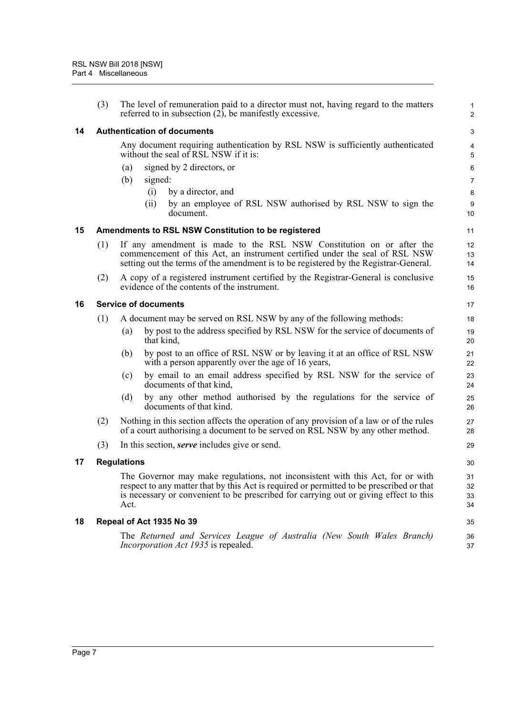<span id="page-10-4"></span><span id="page-10-3"></span><span id="page-10-2"></span><span id="page-10-1"></span><span id="page-10-0"></span>

|    | (3) | The level of remuneration paid to a director must not, having regard to the matters<br>referred to in subsection $(2)$ , be manifestly excessive.                                                                                                                           | $\mathbf{1}$<br>$\overline{2}$ |
|----|-----|-----------------------------------------------------------------------------------------------------------------------------------------------------------------------------------------------------------------------------------------------------------------------------|--------------------------------|
| 14 |     | <b>Authentication of documents</b>                                                                                                                                                                                                                                          | 3                              |
|    |     | Any document requiring authentication by RSL NSW is sufficiently authenticated<br>without the seal of RSL NSW if it is:                                                                                                                                                     | 4<br>5                         |
|    |     | signed by 2 directors, or<br>(a)                                                                                                                                                                                                                                            | 6                              |
|    |     | (b)<br>signed:                                                                                                                                                                                                                                                              | $\overline{7}$                 |
|    |     | by a director, and<br>(i)                                                                                                                                                                                                                                                   | 8                              |
|    |     | (ii)<br>by an employee of RSL NSW authorised by RSL NSW to sign the<br>document.                                                                                                                                                                                            | 9<br>10                        |
| 15 |     | Amendments to RSL NSW Constitution to be registered                                                                                                                                                                                                                         | 11                             |
|    | (1) | If any amendment is made to the RSL NSW Constitution on or after the<br>commencement of this Act, an instrument certified under the seal of RSL NSW<br>setting out the terms of the amendment is to be registered by the Registrar-General.                                 | 12<br>13<br>14                 |
|    | (2) | A copy of a registered instrument certified by the Registrar-General is conclusive<br>evidence of the contents of the instrument.                                                                                                                                           | 15<br>16                       |
| 16 |     | <b>Service of documents</b>                                                                                                                                                                                                                                                 | 17                             |
|    | (1) | A document may be served on RSL NSW by any of the following methods:                                                                                                                                                                                                        | 18                             |
|    |     | by post to the address specified by RSL NSW for the service of documents of<br>(a)<br>that kind,                                                                                                                                                                            | 19<br>20                       |
|    |     | by post to an office of RSL NSW or by leaving it at an office of RSL NSW<br>(b)<br>with a person apparently over the age of 16 years,                                                                                                                                       | 21<br>22                       |
|    |     | by email to an email address specified by RSL NSW for the service of<br>(c)<br>documents of that kind,                                                                                                                                                                      | 23<br>24                       |
|    |     | by any other method authorised by the regulations for the service of<br>(d)<br>documents of that kind.                                                                                                                                                                      | 25<br>26                       |
|    | (2) | Nothing in this section affects the operation of any provision of a law or of the rules<br>of a court authorising a document to be served on RSL NSW by any other method.                                                                                                   | 27<br>28                       |
|    | (3) | In this section, <i>serve</i> includes give or send.                                                                                                                                                                                                                        | 29                             |
| 17 |     | <b>Regulations</b>                                                                                                                                                                                                                                                          | 30                             |
|    |     | The Governor may make regulations, not inconsistent with this Act, for or with<br>respect to any matter that by this Act is required or permitted to be prescribed or that<br>is necessary or convenient to be prescribed for carrying out or giving effect to this<br>Act. | 31<br>32<br>33<br>34           |
| 18 |     | Repeal of Act 1935 No 39                                                                                                                                                                                                                                                    | 35                             |
|    |     | The Returned and Services League of Australia (New South Wales Branch)<br><i>Incorporation Act 1935</i> is repealed.                                                                                                                                                        | 36<br>37                       |